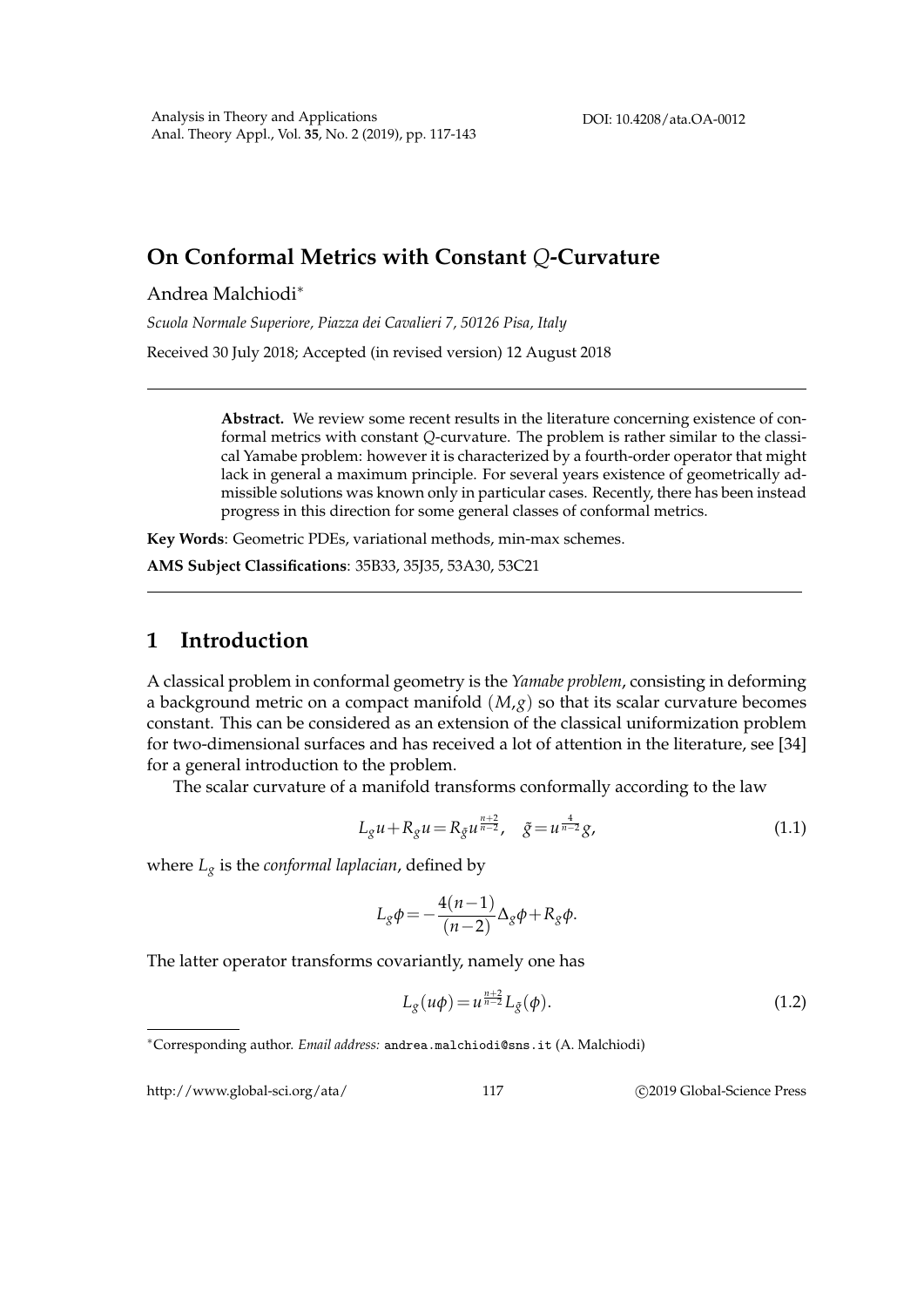## **On Conformal Metrics with Constant** *Q***-Curvature**

Andrea Malchiodi<sup>∗</sup>

*Scuola Normale Superiore, Piazza dei Cavalieri 7, 50126 Pisa, Italy*

Received 30 July 2018; Accepted (in revised version) 12 August 2018

**Abstract.** We review some recent results in the literature concerning existence of conformal metrics with constant *Q*-curvature. The problem is rather similar to the classical Yamabe problem: however it is characterized by a fourth-order operator that might lack in general a maximum principle. For several years existence of geometrically admissible solutions was known only in particular cases. Recently, there has been instead progress in this direction for some general classes of conformal metrics.

**Key Words**: Geometric PDEs, variational methods, min-max schemes.

**AMS Subject Classifications**: 35B33, 35J35, 53A30, 53C21

## **1 Introduction**

A classical problem in conformal geometry is the *Yamabe problem*, consisting in deforming a background metric on a compact manifold (*M*,*g*) so that its scalar curvature becomes constant. This can be considered as an extension of the classical uniformization problem for two-dimensional surfaces and has received a lot of attention in the literature, see [34] for a general introduction to the problem.

The scalar curvature of a manifold transforms conformally according to the law

$$
L_g u + R_g u = R_{\tilde{g}} u^{\frac{n+2}{n-2}}, \quad \tilde{g} = u^{\frac{4}{n-2}} g,
$$
\n(1.1)

where *L<sup>g</sup>* is the *conformal laplacian*, defined by

$$
L_g \phi = -\frac{4(n-1)}{(n-2)} \Delta_g \phi + R_g \phi.
$$

The latter operator transforms covariantly, namely one has

$$
L_g(u\phi) = u^{\frac{n+2}{n-2}} L_{\tilde{g}}(\phi). \tag{1.2}
$$

http://www.global-sci.org/ata/ 117 C 2019 Global-Science Press

<sup>∗</sup>Corresponding author. *Email address:* andrea.malchiodi@sns.it (A. Malchiodi)